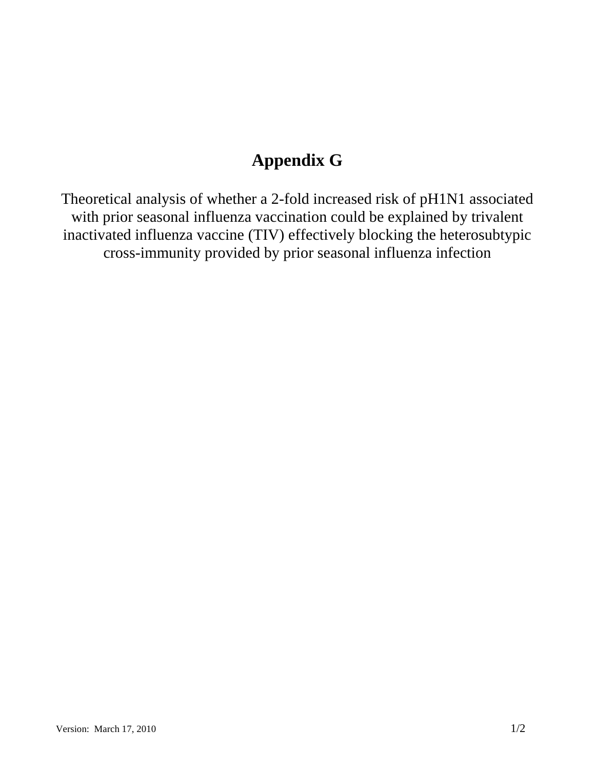## **Appendix G**

Theoretical analysis of whether a 2-fold increased risk of pH1N1 associated with prior seasonal influenza vaccination could be explained by trivalent inactivated influenza vaccine (TIV) effectively blocking the heterosubtypic cross-immunity provided by prior seasonal influenza infection